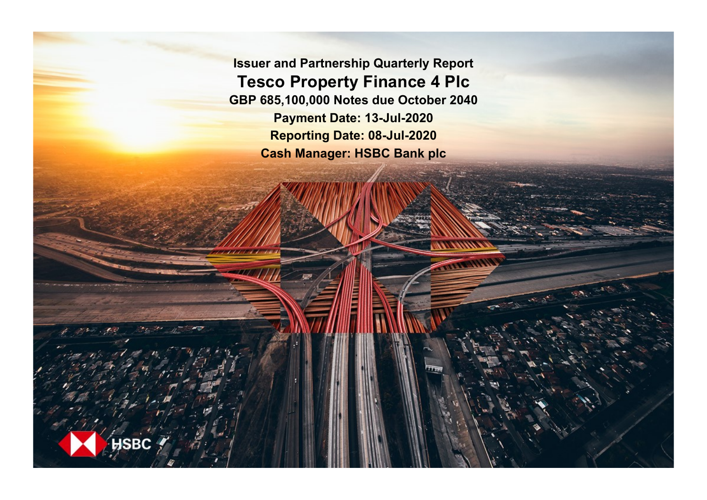**Issuer and Partnership Quarterly Report Tesco Property Finance 4 Plc GBP 685,100,000 Notes due October 2040 Payment Date: 13-Jul-2020 Reporting Date: 08-Jul-2020 Cash Manager: HSBC Bank plc**

**ISBC**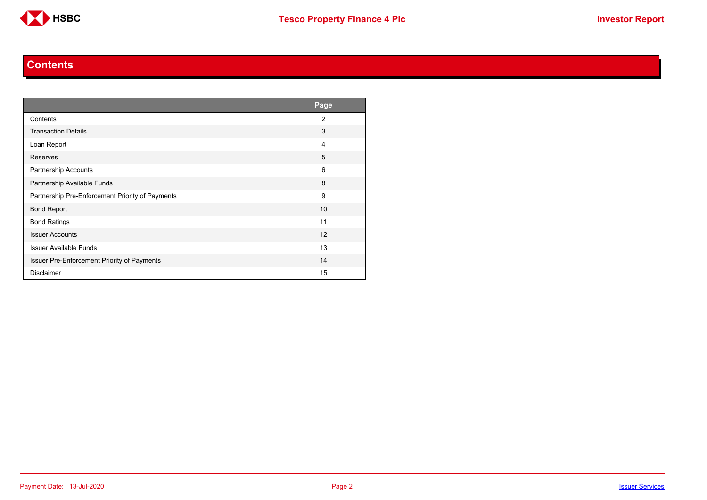

#### **Contents**

<span id="page-1-0"></span>

|                                                  | Page           |
|--------------------------------------------------|----------------|
| Contents                                         | $\overline{2}$ |
| <b>Transaction Details</b>                       | 3              |
| Loan Report                                      | 4              |
| Reserves                                         | 5              |
| <b>Partnership Accounts</b>                      | 6              |
| Partnership Available Funds                      | 8              |
| Partnership Pre-Enforcement Priority of Payments | 9              |
| <b>Bond Report</b>                               | 10             |
| <b>Bond Ratings</b>                              | 11             |
| <b>Issuer Accounts</b>                           | 12             |
| <b>Issuer Available Funds</b>                    | 13             |
| Issuer Pre-Enforcement Priority of Payments      | 14             |
| <b>Disclaimer</b>                                | 15             |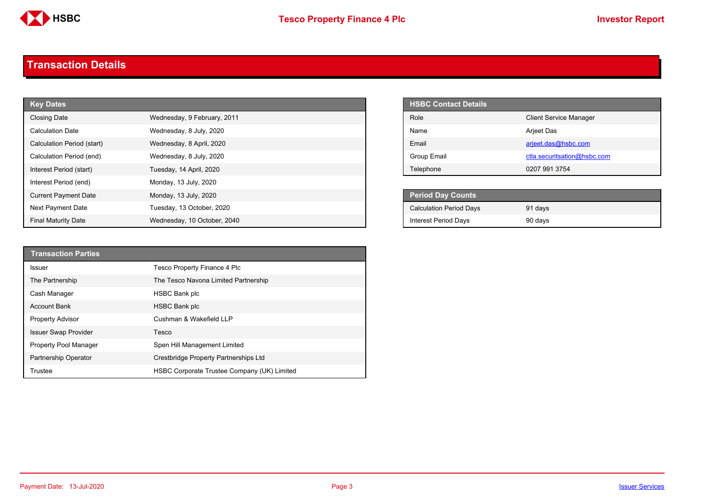

#### <span id="page-2-0"></span>**Transaction Details**

| <b>Key Dates</b>            |                             | <b>HSBC Contact Details</b>    |
|-----------------------------|-----------------------------|--------------------------------|
| Closing Date                | Wednesday, 9 February, 2011 | Role                           |
| <b>Calculation Date</b>     | Wednesday, 8 July, 2020     | Name                           |
| Calculation Period (start)  | Wednesday, 8 April, 2020    | Email                          |
| Calculation Period (end)    | Wednesday, 8 July, 2020     | Group Email                    |
| Interest Period (start)     | Tuesday, 14 April, 2020     | Telephone                      |
| Interest Period (end)       | Monday, 13 July, 2020       |                                |
| <b>Current Payment Date</b> | Monday, 13 July, 2020       | Period Day Counts              |
| Next Payment Date           | Tuesday, 13 October, 2020   | <b>Calculation Period Days</b> |
| <b>Final Maturity Date</b>  | Wednesday, 10 October, 2040 | <b>Interest Period Days</b>    |

| <b>HSBC Contact Details</b> |                               |
|-----------------------------|-------------------------------|
| Role                        | <b>Client Service Manager</b> |
| <b>Name</b>                 | Arjeet Das                    |
| <b>Fmail</b>                | arjeet.das@hsbc.com           |
| Group Email                 | ctla.securitsation@hsbc.com   |
| Telephone                   | 0207 991 3754                 |

| <b>Period Day Counts</b>       |         |  |
|--------------------------------|---------|--|
| <b>Calculation Period Days</b> | 91 days |  |
| <b>Interest Period Days</b>    | 90 days |  |

| <b>Transaction Parties</b>  |                                             |
|-----------------------------|---------------------------------------------|
| Issuer                      | Tesco Property Finance 4 Plc                |
| The Partnership             | The Tesco Navona Limited Partnership        |
| Cash Manager                | HSBC Bank plc                               |
| <b>Account Bank</b>         | <b>HSBC Bank plc</b>                        |
| <b>Property Advisor</b>     | Cushman & Wakefield LLP                     |
| <b>Issuer Swap Provider</b> | Tesco                                       |
| Property Pool Manager       | Spen Hill Management Limited                |
| <b>Partnership Operator</b> | Crestbridge Property Partnerships Ltd       |
| Trustee                     | HSBC Corporate Trustee Company (UK) Limited |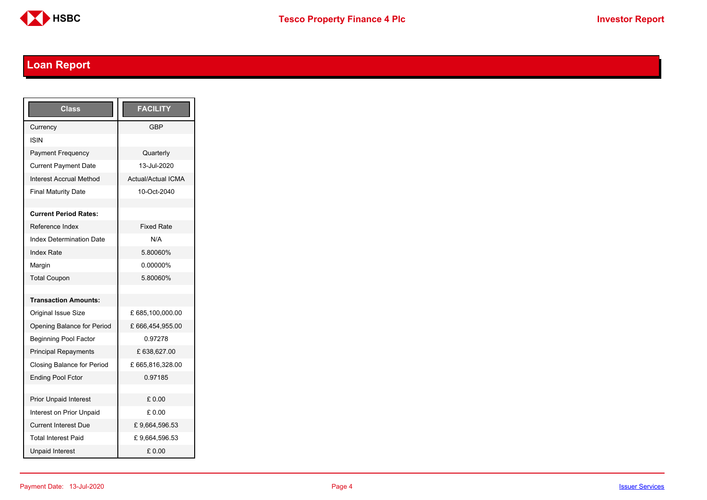

## <span id="page-3-0"></span>**Loan Report**

| <b>Class</b>                      | <b>FACILITY</b>           |
|-----------------------------------|---------------------------|
| Currency                          | GBP                       |
| ISIN                              |                           |
| <b>Payment Frequency</b>          | Quarterly                 |
| <b>Current Payment Date</b>       | 13-Jul-2020               |
| <b>Interest Accrual Method</b>    | <b>Actual/Actual ICMA</b> |
| <b>Final Maturity Date</b>        | 10-Oct-2040               |
|                                   |                           |
| <b>Current Period Rates:</b>      |                           |
| Reference Index                   | <b>Fixed Rate</b>         |
| <b>Index Determination Date</b>   | N/A                       |
| <b>Index Rate</b>                 | 5.80060%                  |
| Margin                            | 0.00000%                  |
| <b>Total Coupon</b>               | 5.80060%                  |
|                                   |                           |
| <b>Transaction Amounts:</b>       |                           |
| <b>Original Issue Size</b>        | £ 685,100,000.00          |
| Opening Balance for Period        | £666,454,955.00           |
| <b>Beginning Pool Factor</b>      | 0.97278                   |
| <b>Principal Repayments</b>       | £ 638,627.00              |
| <b>Closing Balance for Period</b> | £665,816,328.00           |
| <b>Ending Pool Fctor</b>          | 0.97185                   |
|                                   |                           |
| <b>Prior Unpaid Interest</b>      | £0.00                     |
| Interest on Prior Unpaid          | £ 0.00                    |
| <b>Current Interest Due</b>       | £9,664,596.53             |
| <b>Total Interest Paid</b>        | £9,664,596.53             |
| <b>Unpaid Interest</b>            | £0.00                     |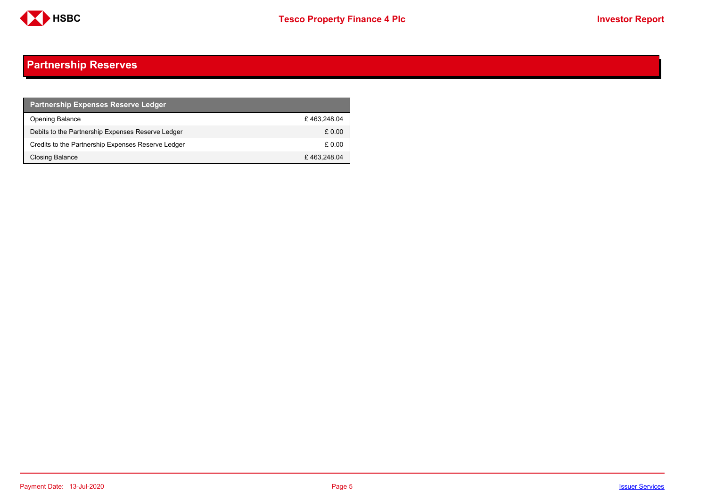

### <span id="page-4-0"></span>**Partnership Reserves**

| <b>Partnership Expenses Reserve Ledger</b>         |             |
|----------------------------------------------------|-------------|
| Opening Balance                                    | £463.248.04 |
| Debits to the Partnership Expenses Reserve Ledger  | £ 0.00      |
| Credits to the Partnership Expenses Reserve Ledger | £ 0.00      |
| Closing Balance                                    | £463,248.04 |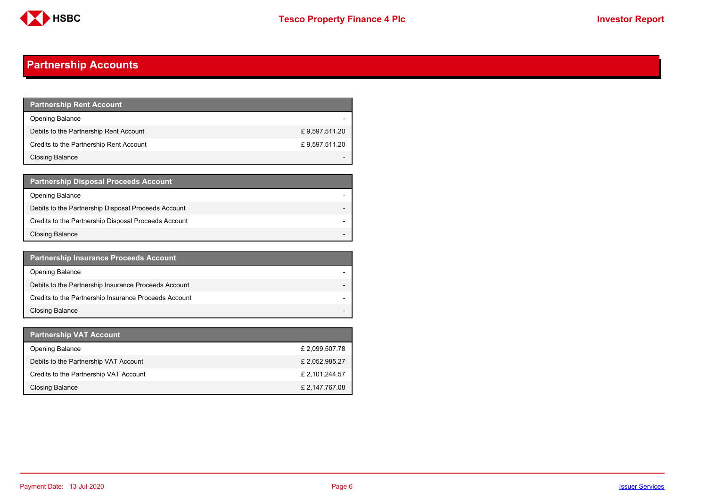

### <span id="page-5-0"></span>**Partnership Accounts**

| <b>Partnership Rent Account</b>         |               |
|-----------------------------------------|---------------|
| <b>Opening Balance</b>                  |               |
| Debits to the Partnership Rent Account  | £9,597,511.20 |
| Credits to the Partnership Rent Account | £9,597,511.20 |
| <b>Closing Balance</b>                  |               |

| <b>Partnership Disposal Proceeds Account</b>         |  |
|------------------------------------------------------|--|
| <b>Opening Balance</b>                               |  |
| Debits to the Partnership Disposal Proceeds Account  |  |
| Credits to the Partnership Disposal Proceeds Account |  |
| <b>Closing Balance</b>                               |  |

| <b>Partnership Insurance Proceeds Account</b>         |  |
|-------------------------------------------------------|--|
| <b>Opening Balance</b>                                |  |
| Debits to the Partnership Insurance Proceeds Account  |  |
| Credits to the Partnership Insurance Proceeds Account |  |
| <b>Closing Balance</b>                                |  |

| Partnership VAT Account                |                |
|----------------------------------------|----------------|
| <b>Opening Balance</b>                 | £ 2,099,507.78 |
| Debits to the Partnership VAT Account  | £2,052,985.27  |
| Credits to the Partnership VAT Account | £ 2,101,244.57 |
| Closing Balance                        | £ 2,147,767.08 |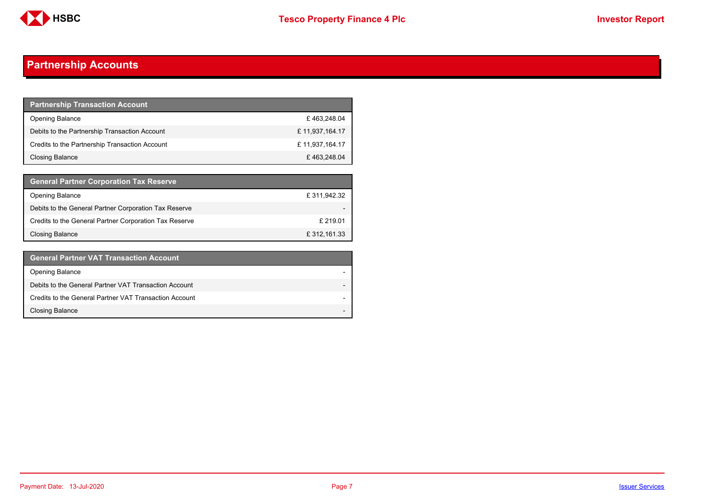

### **Partnership Accounts**

| <b>Partnership Transaction Account</b>         |                |
|------------------------------------------------|----------------|
| <b>Opening Balance</b>                         | £463,248.04    |
| Debits to the Partnership Transaction Account  | £11,937,164.17 |
| Credits to the Partnership Transaction Account | £11,937,164.17 |
| <b>Closing Balance</b>                         | £463,248.04    |

| <b>General Partner Corporation Tax Reserve</b>         |              |
|--------------------------------------------------------|--------------|
| <b>Opening Balance</b>                                 | £311,942.32  |
| Debits to the General Partner Corporation Tax Reserve  |              |
| Credits to the General Partner Corporation Tax Reserve | £219.01      |
| Closing Balance                                        | £ 312,161.33 |

| <b>General Partner VAT Transaction Account</b>         |  |
|--------------------------------------------------------|--|
| <b>Opening Balance</b>                                 |  |
| Debits to the General Partner VAT Transaction Account  |  |
| Credits to the General Partner VAT Transaction Account |  |
| <b>Closing Balance</b>                                 |  |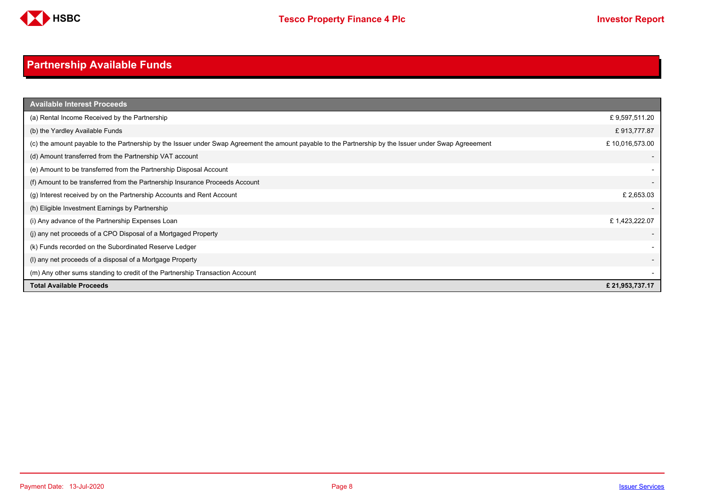

## <span id="page-7-0"></span>**Partnership Available Funds**

| <b>Available Interest Proceeds</b>                                                                                                                     |                |
|--------------------------------------------------------------------------------------------------------------------------------------------------------|----------------|
| (a) Rental Income Received by the Partnership                                                                                                          | £9,597,511.20  |
| (b) the Yardley Available Funds                                                                                                                        | £913,777.87    |
| (c) the amount payable to the Partnership by the Issuer under Swap Agreement the amount payable to the Partnership by the Issuer under Swap Agreeement | £10,016,573.00 |
| (d) Amount transferred from the Partnership VAT account                                                                                                |                |
| (e) Amount to be transferred from the Partnership Disposal Account                                                                                     |                |
| (f) Amount to be transferred from the Partnership Insurance Proceeds Account                                                                           |                |
| (g) Interest received by on the Partnership Accounts and Rent Account                                                                                  | £2,653.03      |
| (h) Eligible Investment Earnings by Partnership                                                                                                        |                |
| (i) Any advance of the Partnership Expenses Loan                                                                                                       | £1,423,222.07  |
| (j) any net proceeds of a CPO Disposal of a Mortgaged Property                                                                                         |                |
| (k) Funds recorded on the Subordinated Reserve Ledger                                                                                                  |                |
| (I) any net proceeds of a disposal of a Mortgage Property                                                                                              |                |
| (m) Any other sums standing to credit of the Partnership Transaction Account                                                                           |                |
| <b>Total Available Proceeds</b>                                                                                                                        | £21,953,737.17 |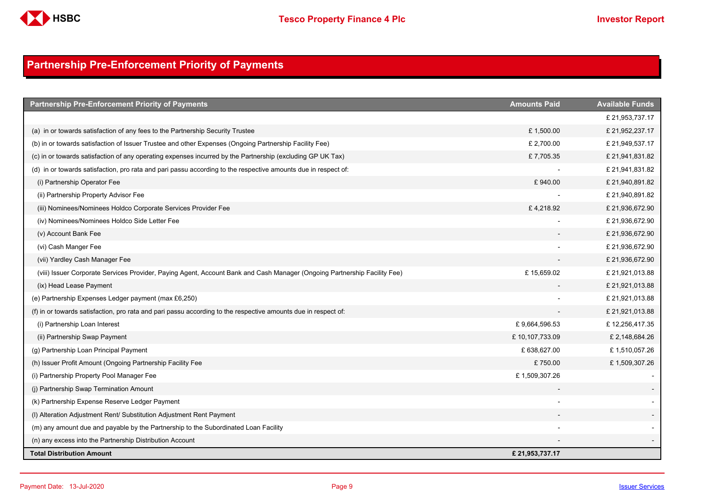

### <span id="page-8-0"></span>**Partnership Pre-Enforcement Priority of Payments**

| <b>Partnership Pre-Enforcement Priority of Payments</b>                                                                   | <b>Amounts Paid</b> | <b>Available Funds</b> |
|---------------------------------------------------------------------------------------------------------------------------|---------------------|------------------------|
|                                                                                                                           |                     | £ 21,953,737.17        |
| (a) in or towards satisfaction of any fees to the Partnership Security Trustee                                            | £1,500.00           | £ 21,952,237.17        |
| (b) in or towards satisfaction of Issuer Trustee and other Expenses (Ongoing Partnership Facility Fee)                    | £ 2,700.00          | £ 21,949,537.17        |
| (c) in or towards satisfaction of any operating expenses incurred by the Partnership (excluding GP UK Tax)                | £7,705.35           | £ 21,941,831.82        |
| (d) in or towards satisfaction, pro rata and pari passu according to the respective amounts due in respect of:            |                     | £ 21,941,831.82        |
| (i) Partnership Operator Fee                                                                                              | £940.00             | £ 21,940,891.82        |
| (ii) Partnership Property Advisor Fee                                                                                     |                     | £ 21,940,891.82        |
| (iii) Nominees/Nominees Holdco Corporate Services Provider Fee                                                            | £4,218.92           | £ 21,936,672.90        |
| (iv) Nominees/Nominees Holdco Side Letter Fee                                                                             |                     | £ 21,936,672.90        |
| (v) Account Bank Fee                                                                                                      |                     | £ 21,936,672.90        |
| (vi) Cash Manger Fee                                                                                                      |                     | £ 21,936,672.90        |
| (vii) Yardley Cash Manager Fee                                                                                            |                     | £ 21,936,672.90        |
| (viii) Issuer Corporate Services Provider, Paying Agent, Account Bank and Cash Manager (Ongoing Partnership Facility Fee) | £15,659.02          | £ 21,921,013.88        |
| (ix) Head Lease Payment                                                                                                   |                     | £ 21,921,013.88        |
| (e) Partnership Expenses Ledger payment (max £6,250)                                                                      |                     | £ 21,921,013.88        |
| (f) in or towards satisfaction, pro rata and pari passu according to the respective amounts due in respect of:            |                     | £ 21,921,013.88        |
| (i) Partnership Loan Interest                                                                                             | £9,664,596.53       | £12,256,417.35         |
| (ii) Partnership Swap Payment                                                                                             | £10,107,733.09      | £2,148,684.26          |
| (g) Partnership Loan Principal Payment                                                                                    | £ 638,627.00        | £1,510,057.26          |
| (h) Issuer Profit Amount (Ongoing Partnership Facility Fee                                                                | £750.00             | £1,509,307.26          |
| (i) Partnership Property Pool Manager Fee                                                                                 | £1,509,307.26       |                        |
| (i) Partnership Swap Termination Amount                                                                                   |                     |                        |
| (k) Partnership Expense Reserve Ledger Payment                                                                            |                     |                        |
| (I) Alteration Adjustment Rent/ Substitution Adjustment Rent Payment                                                      |                     |                        |
| (m) any amount due and payable by the Partnership to the Subordinated Loan Facility                                       |                     |                        |
| (n) any excess into the Partnership Distribution Account                                                                  |                     |                        |
| <b>Total Distribution Amount</b>                                                                                          | £21,953,737.17      |                        |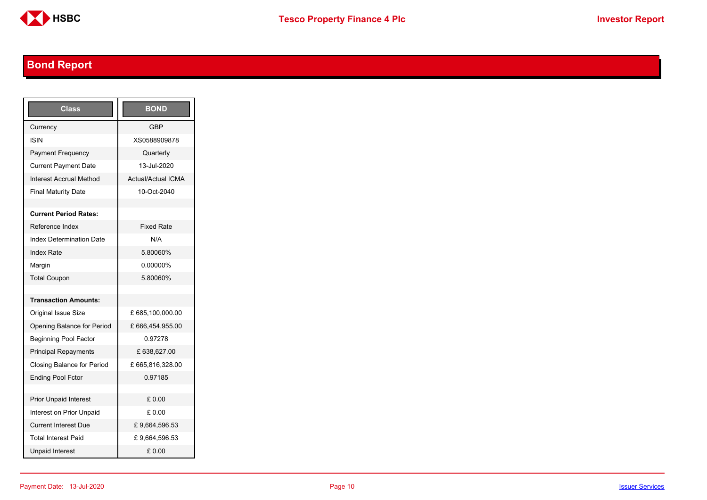

## <span id="page-9-0"></span>**Bond Report**

| Class                             | <b>BOND</b>               |
|-----------------------------------|---------------------------|
| Currency                          | <b>GBP</b>                |
| <b>ISIN</b>                       | XS0588909878              |
| <b>Payment Frequency</b>          | Quarterly                 |
| <b>Current Payment Date</b>       | 13-Jul-2020               |
| Interest Accrual Method           | <b>Actual/Actual ICMA</b> |
| <b>Final Maturity Date</b>        | 10-Oct-2040               |
|                                   |                           |
| <b>Current Period Rates:</b>      |                           |
| Reference Index                   | <b>Fixed Rate</b>         |
| <b>Index Determination Date</b>   | N/A                       |
| <b>Index Rate</b>                 | 5.80060%                  |
| Margin                            | 0.00000%                  |
| <b>Total Coupon</b>               | 5.80060%                  |
|                                   |                           |
| <b>Transaction Amounts:</b>       |                           |
| <b>Original Issue Size</b>        | £685,100,000.00           |
| Opening Balance for Period        | £666,454,955.00           |
| <b>Beginning Pool Factor</b>      | 0.97278                   |
| <b>Principal Repayments</b>       | £ 638,627.00              |
| <b>Closing Balance for Period</b> | £665,816,328.00           |
| <b>Ending Pool Fctor</b>          | 0.97185                   |
|                                   |                           |
| <b>Prior Unpaid Interest</b>      | £0.00                     |
| Interest on Prior Unpaid          | £ 0.00                    |
| <b>Current Interest Due</b>       | £9,664,596.53             |
| <b>Total Interest Paid</b>        | £9,664,596.53             |
| <b>Unpaid Interest</b>            | £0.00                     |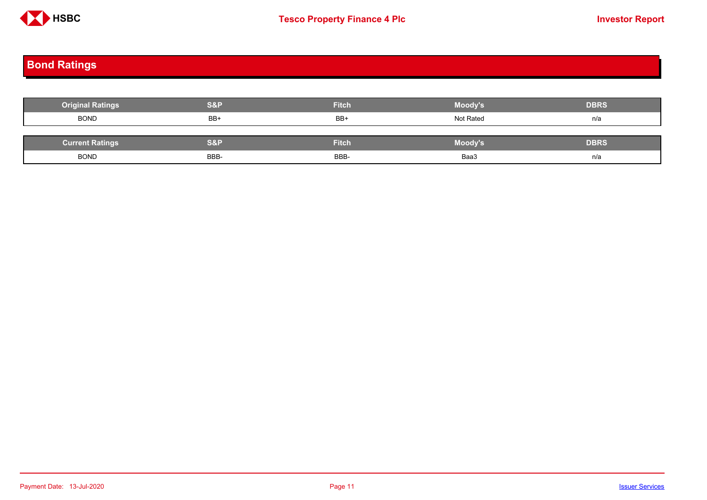

# <span id="page-10-0"></span>**Bond Ratings**

| <b>Original Ratings</b> | S&P  | <b>Fitch</b> | Moody's        | <b>DBRS</b> |
|-------------------------|------|--------------|----------------|-------------|
| <b>BOND</b>             | BB+  | BB+          | Not Rated      | n/a         |
|                         |      |              |                |             |
| <b>Current Ratings</b>  | S&P  | <b>Fitch</b> | <b>Moody's</b> | <b>DBRS</b> |
| <b>BOND</b>             | BBB- | BBB-         | Baa3           | n/a         |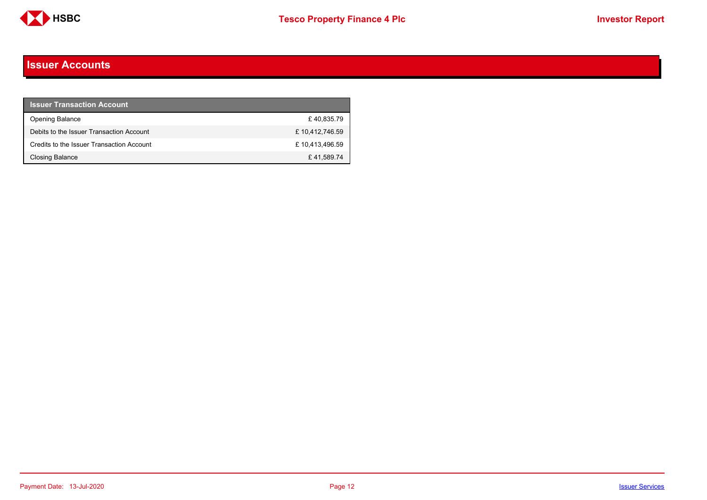

#### <span id="page-11-0"></span>**Issuer Accounts**

| <b>Issuer Transaction Account</b>         |                |
|-------------------------------------------|----------------|
| <b>Opening Balance</b>                    | £40.835.79     |
| Debits to the Issuer Transaction Account  | £10,412,746.59 |
| Credits to the Issuer Transaction Account | £10,413,496.59 |
| <b>Closing Balance</b>                    | £41,589.74     |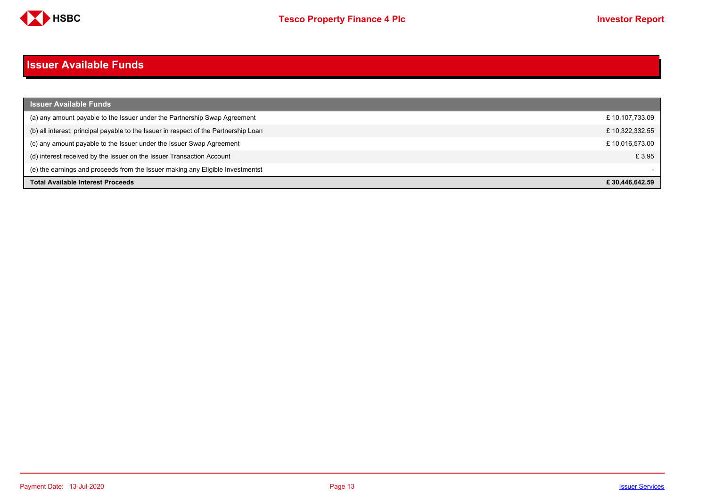

#### <span id="page-12-0"></span>**Issuer Available Funds**

| <b>Issuer Available Funds</b>                                                        |                |
|--------------------------------------------------------------------------------------|----------------|
| (a) any amount payable to the Issuer under the Partnership Swap Agreement            | £10,107,733.09 |
| (b) all interest, principal payable to the Issuer in respect of the Partnership Loan | £10,322,332.55 |
| (c) any amount payable to the Issuer under the Issuer Swap Agreement                 | £10,016,573.00 |
| (d) interest received by the Issuer on the Issuer Transaction Account                | £ 3.95         |
| (e) the earnings and proceeds from the Issuer making any Eligible Investmentst       |                |
| <b>Total Available Interest Proceeds</b>                                             | £30.446.642.59 |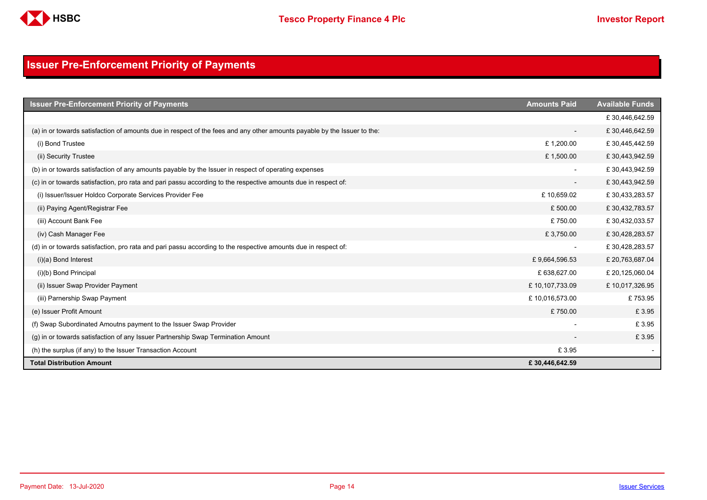

### <span id="page-13-0"></span>**Issuer Pre-Enforcement Priority of Payments**

| <b>Issuer Pre-Enforcement Priority of Payments</b>                                                                       | <b>Amounts Paid</b>      | <b>Available Funds</b> |
|--------------------------------------------------------------------------------------------------------------------------|--------------------------|------------------------|
|                                                                                                                          |                          | £30,446,642.59         |
| (a) in or towards satisfaction of amounts due in respect of the fees and any other amounts payable by the Issuer to the: | $\overline{\phantom{a}}$ | £30,446,642.59         |
| (i) Bond Trustee                                                                                                         | £1,200.00                | £30,445,442.59         |
| (ii) Security Trustee                                                                                                    | £1,500.00                | £30,443,942.59         |
| (b) in or towards satisfaction of any amounts payable by the Issuer in respect of operating expenses                     |                          | £30,443,942.59         |
| (c) in or towards satisfaction, pro rata and pari passu according to the respective amounts due in respect of:           | $\overline{\phantom{a}}$ | £30,443,942.59         |
| (i) Issuer/Issuer Holdco Corporate Services Provider Fee                                                                 | £10,659.02               | £30,433,283.57         |
| (ii) Paying Agent/Registrar Fee                                                                                          | £500.00                  | £30,432,783.57         |
| (iii) Account Bank Fee                                                                                                   | £750.00                  | £30,432,033.57         |
| (iv) Cash Manager Fee                                                                                                    | £3,750.00                | £30,428,283.57         |
| (d) in or towards satisfaction, pro rata and pari passu according to the respective amounts due in respect of:           | $\overline{\phantom{a}}$ | £30,428,283.57         |
| $(i)(a)$ Bond Interest                                                                                                   | £9,664,596.53            | £ 20,763,687.04        |
| (i)(b) Bond Principal                                                                                                    | £ 638,627.00             | £ 20,125,060.04        |
| (ii) Issuer Swap Provider Payment                                                                                        | £10,107,733.09           | £10,017,326.95         |
| (iii) Parnership Swap Payment                                                                                            | £10,016,573.00           | £753.95                |
| (e) Issuer Profit Amount                                                                                                 | £750.00                  | £3.95                  |
| (f) Swap Subordinated Amoutns payment to the Issuer Swap Provider                                                        |                          | £3.95                  |
| (g) in or towards satisfaction of any Issuer Partnership Swap Termination Amount                                         |                          | £3.95                  |
| (h) the surplus (if any) to the Issuer Transaction Account                                                               | £3.95                    |                        |
| <b>Total Distribution Amount</b>                                                                                         | £30,446,642.59           |                        |